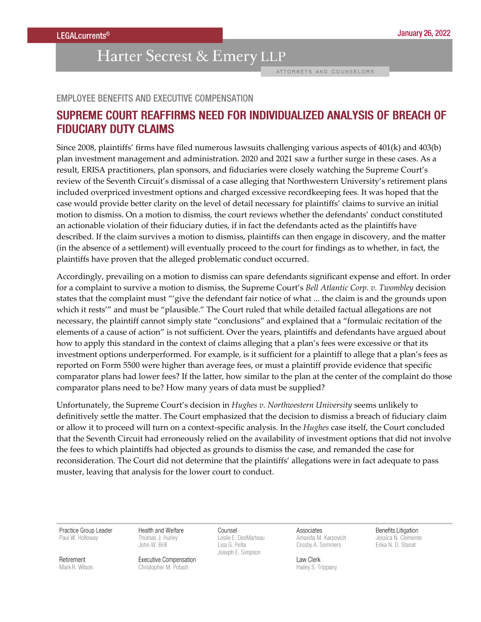## Harter Secrest & Emery LLP

ATTORNEYS AND COUNSELORS

## **EMPLOYEE BENEFITS AND EXECUTIVE COMPENSATION**

## SUPREME COURT REAFFIRMS NEED FOR INDIVIDUALIZED ANALYSIS OF BREACH OF **FIDUCIARY DUTY CLAIMS**

Since 2008, plaintiffs' firms have filed numerous lawsuits challenging various aspects of 401(k) and 403(b) plan investment management and administration. 2020 and 2021 saw a further surge in these cases. As a result, ERISA practitioners, plan sponsors, and fiduciaries were closely watching the Supreme Court's review of the Seventh Circuit's dismissal of a case alleging that Northwestern University's retirement plans included overpriced investment options and charged excessive recordkeeping fees. It was hoped that the case would provide better clarity on the level of detail necessary for plaintiffs' claims to survive an initial motion to dismiss. On a motion to dismiss, the court reviews whether the defendants' conduct constituted an actionable violation of their fiduciary duties, if in fact the defendants acted as the plaintiffs have described. If the claim survives a motion to dismiss, plaintiffs can then engage in discovery, and the matter (in the absence of a settlement) will eventually proceed to the court for findings as to whether, in fact, the plaintiffs have proven that the alleged problematic conduct occurred.

Accordingly, prevailing on a motion to dismiss can spare defendants significant expense and effort. In order for a complaint to survive a motion to dismiss, the Supreme Court's Bell Atlantic Corp. v. Twombley decision states that the complaint must "'give the defendant fair notice of what ... the claim is and the grounds upon which it rests" and must be "plausible." The Court ruled that while detailed factual allegations are not necessary, the plaintiff cannot simply state "conclusions" and explained that a "formulaic recitation of the elements of a cause of action" is not sufficient. Over the years, plaintiffs and defendants have argued about how to apply this standard in the context of claims alleging that a plan's fees were excessive or that its investment options underperformed. For example, is it sufficient for a plaintiff to allege that a plan's fees as reported on Form 5500 were higher than average fees, or must a plaintiff provide evidence that specific comparator plans had lower fees? If the latter, how similar to the plan at the center of the complaint do those comparator plans need to be? How many years of data must be supplied?

Unfortunately, the Supreme Court's decision in Hughes v. Northwestern University seems unlikely to definitively settle the matter. The Court emphasized that the decision to dismiss a breach of fiduciary claim or allow it to proceed will turn on a context-specific analysis. In the Hughes case itself, the Court concluded that the Seventh Circuit had erroneously relied on the availability of investment options that did not involve the fees to which plaintiffs had objected as grounds to dismiss the case, and remanded the case for reconsideration. The Court did not determine that the plaintiffs' allegations were in fact adequate to pass muster, leaving that analysis for the lower court to conduct.

Practice Group Leader Paul W. Holloway

Health and Welfare Thomas J. Hurley John W. Brill

Counsel Leslie E. DesMarteau Lisa G. Pelta Joseph E. Simpson

Associates Amanda M. Karpovich Crosby A. Sommers

Law Clerk Hailey S. Trippany

Benefits Litigation Jessica N. Clemente Erika N. D. Stanat

Retirement Mark R. Wilson **Executive Compensation** Christopher M. Potash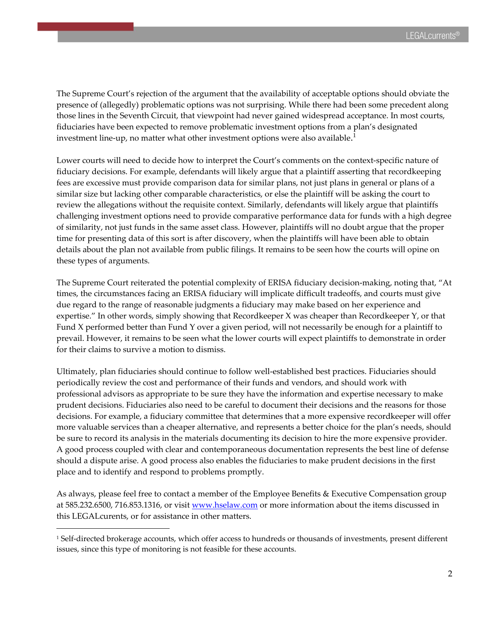The Supreme Court's rejection of the argument that the availability of acceptable options should obviate the presence of (allegedly) problematic options was not surprising. While there had been some precedent along those lines in the Seventh Circuit, that viewpoint had never gained widespread acceptance. In most courts, fiduciaries have been expected to remove problematic investment options from a plan's designated investment line-up, no matter what other investment options were also available. $^{\rm l}$ 

Lower courts will need to decide how to interpret the Court's comments on the context-specific nature of fiduciary decisions. For example, defendants will likely argue that a plaintiff asserting that recordkeeping fees are excessive must provide comparison data for similar plans, not just plans in general or plans of a similar size but lacking other comparable characteristics, or else the plaintiff will be asking the court to review the allegations without the requisite context. Similarly, defendants will likely argue that plaintiffs challenging investment options need to provide comparative performance data for funds with a high degree of similarity, not just funds in the same asset class. However, plaintiffs will no doubt argue that the proper time for presenting data of this sort is after discovery, when the plaintiffs will have been able to obtain details about the plan not available from public filings. It remains to be seen how the courts will opine on these types of arguments.

The Supreme Court reiterated the potential complexity of ERISA fiduciary decision-making, noting that, "At times, the circumstances facing an ERISA fiduciary will implicate difficult tradeoffs, and courts must give due regard to the range of reasonable judgments a fiduciary may make based on her experience and expertise." In other words, simply showing that Recordkeeper X was cheaper than Recordkeeper Y, or that Fund X performed better than Fund Y over a given period, will not necessarily be enough for a plaintiff to prevail. However, it remains to be seen what the lower courts will expect plaintiffs to demonstrate in order for their claims to survive a motion to dismiss.

Ultimately, plan fiduciaries should continue to follow well-established best practices. Fiduciaries should periodically review the cost and performance of their funds and vendors, and should work with professional advisors as appropriate to be sure they have the information and expertise necessary to make prudent decisions. Fiduciaries also need to be careful to document their decisions and the reasons for those decisions. For example, a fiduciary committee that determines that a more expensive recordkeeper will offer more valuable services than a cheaper alternative, and represents a better choice for the plan's needs, should be sure to record its analysis in the materials documenting its decision to hire the more expensive provider. A good process coupled with clear and contemporaneous documentation represents the best line of defense should a dispute arise. A good process also enables the fiduciaries to make prudent decisions in the first place and to identify and respond to problems promptly.

As always, please feel free to contact a member of the Employee Benefits & Executive Compensation group at 585.232.6500, 716.853.1316, or visit [www.hselaw.com](http://www.hselaw.com/) or more information about the items discussed in this LEGALcurents, or for assistance in other matters.

<sup>1</sup> Self-directed brokerage accounts, which offer access to hundreds or thousands of investments, present different issues, since this type of monitoring is not feasible for these accounts.